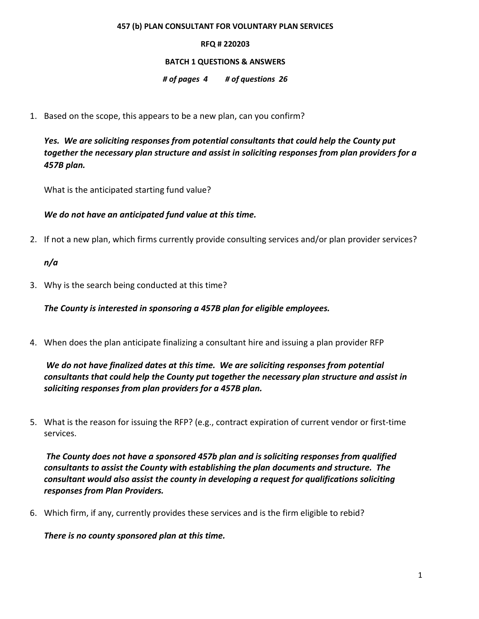#### **457 (b) PLAN CONSULTANT FOR VOLUNTARY PLAN SERVICES**

### **RFQ # 220203**

### **BATCH 1 QUESTIONS & ANSWERS**

### *# of pages 4 # of questions 26*

1. Based on the scope, this appears to be a new plan, can you confirm?

*Yes. We are soliciting responses from potential consultants that could help the County put together the necessary plan structure and assist in soliciting responses from plan providers for a 457B plan.* 

What is the anticipated starting fund value?

*We do not have an anticipated fund value at this time.* 

2. If not a new plan, which firms currently provide consulting services and/or plan provider services?

*n/a* 

3. Why is the search being conducted at this time?

*The County is interested in sponsoring a 457B plan for eligible employees.*

4. When does the plan anticipate finalizing a consultant hire and issuing a plan provider RFP

*We do not have finalized dates at this time. We are soliciting responses from potential consultants that could help the County put together the necessary plan structure and assist in soliciting responses from plan providers for a 457B plan.* 

5. What is the reason for issuing the RFP? (e.g., contract expiration of current vendor or first-time services.

*The County does not have a sponsored 457b plan and is soliciting responses from qualified consultants to assist the County with establishing the plan documents and structure. The consultant would also assist the county in developing a request for qualifications soliciting responses from Plan Providers.* 

6. Which firm, if any, currently provides these services and is the firm eligible to rebid?

*There is no county sponsored plan at this time.*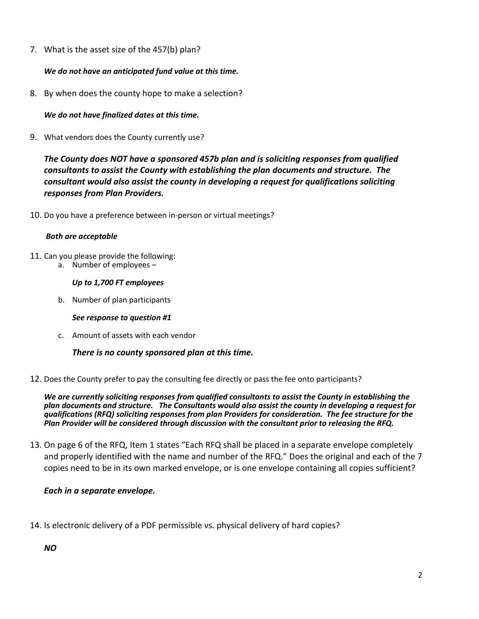7. What is the asset size of the 457(b) plan?

## *We do not have an anticipated fund value at this time.*

8. By when does the county hope to make a selection?

*We do not have finalized dates at this time.*

9. What vendors does the County currently use?

*The County does NOT have a sponsored 457b plan and is soliciting responses from qualified consultants to assist the County with establishing the plan documents and structure. The consultant would also assist the county in developing a request for qualifications soliciting responses from Plan Providers.* 

10. Do you have a preference between in-person or virtual meetings?

## *Both are acceptable*

- 11. Can you please provide the following:
	- a. Number of employees –

### *Up to 1,700 FT employees*

b. Number of plan participants

## *See response to question #1*

c. Amount of assets with each vendor

## *There is no county sponsored plan at this time.*

12. Does the County prefer to pay the consulting fee directly or pass the fee onto participants?

*We are currently soliciting responses from qualified consultants to assist the County in establishing the plan documents and structure. The Consultants would also assist the county in developing a request for qualifications (RFQ) soliciting responses from plan Providers for consideration. The fee structure for the Plan Provider will be considered through discussion with the consultant prior to releasing the RFQ.*

13. On page 6 of the RFQ, Item 1 states "Each RFQ shall be placed in a separate envelope completely and properly identified with the name and number of the RFQ." Does the original and each of the 7 copies need to be in its own marked envelope, or is one envelope containing all copies sufficient?

# *Each in a separate envelope.*

14. Is electronic delivery of a PDF permissible vs. physical delivery of hard copies?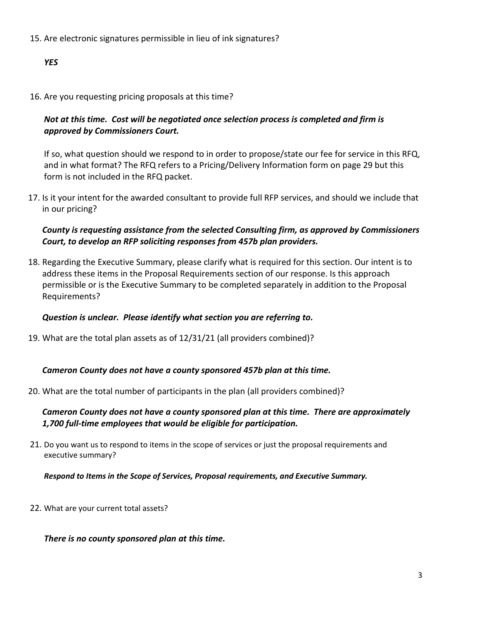15. Are electronic signatures permissible in lieu of ink signatures?

# *YES*

16. Are you requesting pricing proposals at this time?

# *Not at this time. Cost will be negotiated once selection process is completed and firm is approved by Commissioners Court.*

If so, what question should we respond to in order to propose/state our fee for service in this RFQ, and in what format? The RFQ refers to a Pricing/Delivery Information form on page 29 but this form is not included in the RFQ packet.

17. Is it your intent for the awarded consultant to provide full RFP services, and should we include that in our pricing?

# *County is requesting assistance from the selected Consulting firm, as approved by Commissioners Court, to develop an RFP soliciting responses from 457b plan providers.*

18. Regarding the Executive Summary, please clarify what is required for this section. Our intent is to address these items in the Proposal Requirements section of our response. Is this approach permissible or is the Executive Summary to be completed separately in addition to the Proposal Requirements?

# *Question is unclear. Please identify what section you are referring to.*

19. What are the total plan assets as of 12/31/21 (all providers combined)?

# *Cameron County does not have a county sponsored 457b plan at this time.*

20. What are the total number of participants in the plan (all providers combined)?

# *Cameron County does not have a county sponsored plan at this time. There are approximately 1,700 full-time employees that would be eligible for participation.*

21. Do you want us to respond to items in the scope of services or just the proposal requirements and executive summary?

*Respond to Items in the Scope of Services, Proposal requirements, and Executive Summary.*

22. What are your current total assets?

## *There is no county sponsored plan at this time.*